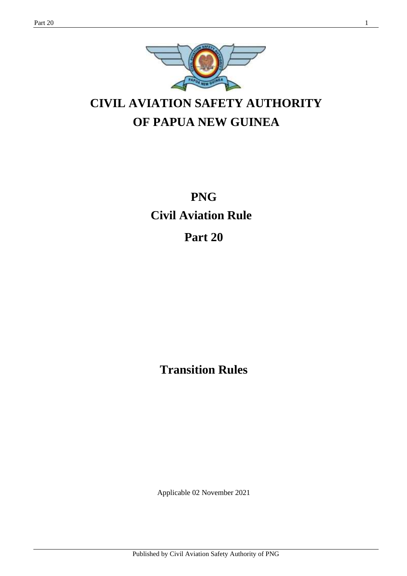

# **CIVIL AVIATION SAFETY AUTHORITY OF PAPUA NEW GUINEA**

**PNG Civil Aviation Rule**

**Part 20**

**Transition Rules**

Applicable 02 November 2021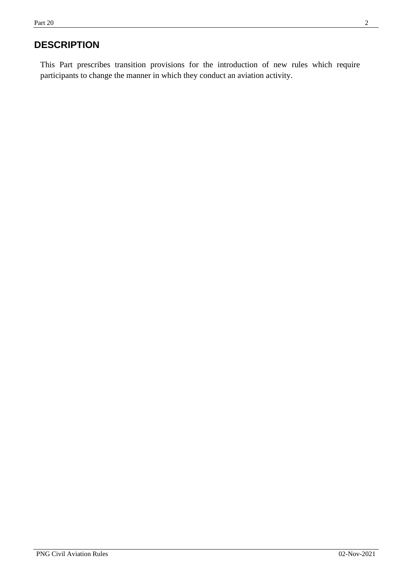# **DESCRIPTION**

This Part prescribes transition provisions for the introduction of new rules which require participants to change the manner in which they conduct an aviation activity.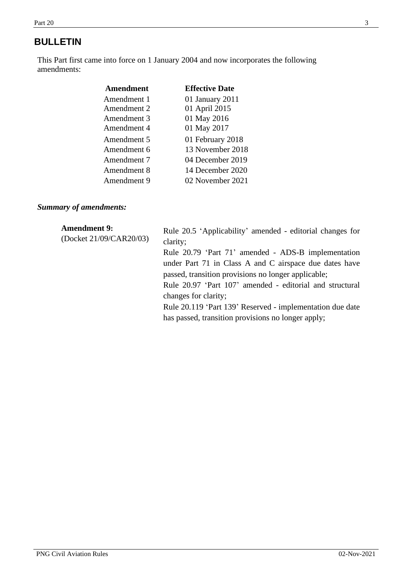## **BULLETIN**

This Part first came into force on 1 January 2004 and now incorporates the following amendments:

| <b>Amendment</b> | <b>Effective Date</b> |
|------------------|-----------------------|
| Amendment 1      | 01 January 2011       |
| Amendment 2      | 01 April 2015         |
| Amendment 3      | 01 May 2016           |
| Amendment 4      | 01 May 2017           |
| Amendment 5      | 01 February 2018      |
| Amendment 6      | 13 November 2018      |
| Amendment 7      | 04 December 2019      |
| Amendment 8      | 14 December 2020      |
| Amendment 9      | 02 November 2021      |
|                  |                       |

## *Summary of amendments:*

| <b>Amendment 9:</b><br>(Docket 21/09/CAR20/03) | Rule 20.5 'Applicability' amended - editorial changes for<br>clarity;<br>Rule 20.79 'Part 71' amended - ADS-B implementation<br>under Part 71 in Class A and C airspace due dates have<br>passed, transition provisions no longer applicable;<br>Rule 20.97 'Part 107' amended - editorial and structural<br>changes for clarity;<br>Rule 20.119 'Part 139' Reserved - implementation due date |
|------------------------------------------------|------------------------------------------------------------------------------------------------------------------------------------------------------------------------------------------------------------------------------------------------------------------------------------------------------------------------------------------------------------------------------------------------|
|                                                | has passed, transition provisions no longer apply;                                                                                                                                                                                                                                                                                                                                             |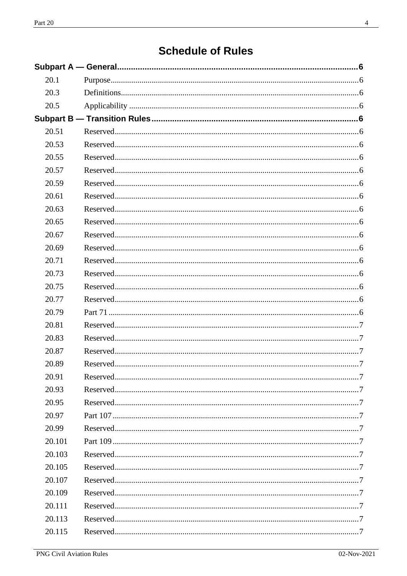# **Schedule of Rules**

| 20.1   |  |
|--------|--|
| 20.3   |  |
| 20.5   |  |
|        |  |
| 20.51  |  |
| 20.53  |  |
| 20.55  |  |
| 20.57  |  |
| 20.59  |  |
| 20.61  |  |
| 20.63  |  |
| 20.65  |  |
| 20.67  |  |
| 20.69  |  |
| 20.71  |  |
| 20.73  |  |
| 20.75  |  |
| 20.77  |  |
| 20.79  |  |
| 20.81  |  |
| 20.83  |  |
| 20.87  |  |
| 20.89  |  |
| 20.91  |  |
| 20.93  |  |
| 20.95  |  |
| 20.97  |  |
| 20.99  |  |
| 20.101 |  |
| 20.103 |  |
| 20.105 |  |
| 20.107 |  |
| 20.109 |  |
| 20.111 |  |
| 20.113 |  |
| 20.115 |  |
|        |  |

 $\overline{\phantom{a}}$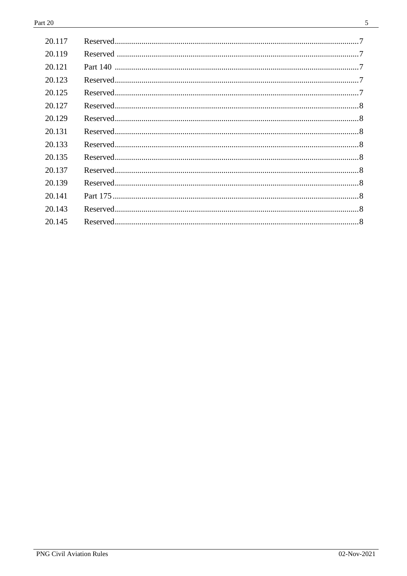$\overline{a}$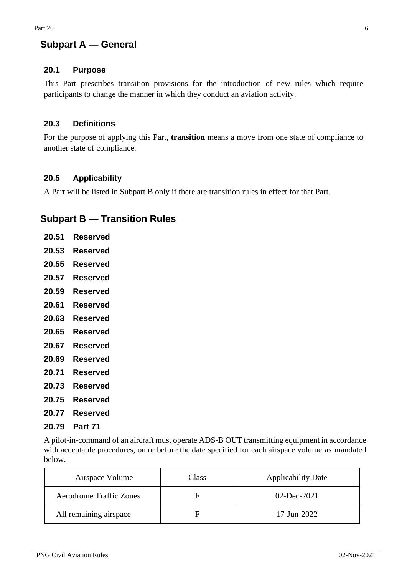## <span id="page-5-0"></span>**Subpart A — General**

## <span id="page-5-1"></span>**20.1 Purpose**

This Part prescribes transition provisions for the introduction of new rules which require participants to change the manner in which they conduct an aviation activity.

## <span id="page-5-2"></span>**20.3 Definitions**

For the purpose of applying this Part, **transition** means a move from one state of compliance to another state of compliance.

## <span id="page-5-3"></span>**20.5 Applicability**

A Part will be listed in Subpart B only if there are transition rules in effect for that Part.

## <span id="page-5-5"></span><span id="page-5-4"></span>**Subpart B — Transition Rules**

<span id="page-5-11"></span><span id="page-5-10"></span><span id="page-5-9"></span><span id="page-5-8"></span><span id="page-5-7"></span><span id="page-5-6"></span>

| 20.51 | <b>Reserved</b> |
|-------|-----------------|
|       | 20.53 Reserved  |
|       | 20.55 Reserved  |
|       | 20.57 Reserved  |
|       | 20.59 Reserved  |
|       | 20.61 Reserved  |
|       | 20.63 Reserved  |
|       | 20.65 Reserved  |
|       | 20.67 Reserved  |
|       | 20.69 Reserved  |
|       | 20.71 Reserved  |
|       | 20.73 Reserved  |
| 20.75 | Reserved        |

- <span id="page-5-18"></span><span id="page-5-17"></span><span id="page-5-16"></span><span id="page-5-15"></span><span id="page-5-14"></span><span id="page-5-13"></span><span id="page-5-12"></span>**20.77 Reserved**
- <span id="page-5-19"></span>**20.79 Part 71**

A pilot-in-command of an aircraft must operate ADS-B OUT transmitting equipment in accordance with acceptable procedures, on or before the date specified for each airspace volume as mandated below.

| Airspace Volume                | Class | <b>Applicability Date</b> |
|--------------------------------|-------|---------------------------|
| <b>Aerodrome Traffic Zones</b> | н     | $02$ -Dec-2021            |
| All remaining airspace         | н     | $17 - Jun - 2022$         |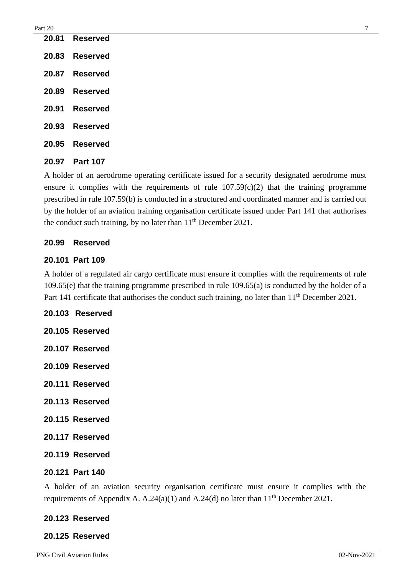<span id="page-6-3"></span><span id="page-6-2"></span><span id="page-6-1"></span><span id="page-6-0"></span>

| 20.81 | Reserved        |
|-------|-----------------|
| 20.83 | <b>Reserved</b> |
| 20.87 | <b>Reserved</b> |
| 20.89 | <b>Reserved</b> |
| 20.91 | Reserved        |
| 20.93 | <b>Reserved</b> |
| 20.95 | <b>Reserved</b> |
|       |                 |

<span id="page-6-7"></span><span id="page-6-6"></span><span id="page-6-5"></span><span id="page-6-4"></span>**20.97 Part 107**

A holder of an aerodrome operating certificate issued for a security designated aerodrome must ensure it complies with the requirements of rule  $107.59(c)(2)$  that the training programme prescribed in rule 107.59(b) is conducted in a structured and coordinated manner and is carried out by the holder of an aviation training organisation certificate issued under Part 141 that authorises the conduct such training, by no later than  $11<sup>th</sup>$  December 2021.

## <span id="page-6-8"></span>**20.99 Reserved**

## <span id="page-6-9"></span>**20.101 Part 109**

A holder of a regulated air cargo certificate must ensure it complies with the requirements of rule 109.65(e) that the training programme prescribed in rule 109.65(a) is conducted by the holder of a Part 141 certificate that authorises the conduct such training, no later than 11<sup>th</sup> December 2021.

<span id="page-6-14"></span><span id="page-6-13"></span><span id="page-6-12"></span><span id="page-6-11"></span><span id="page-6-10"></span>**20.103 Reserved 20.105 Reserved 20.107 Reserved 20.109 Reserved 20.111 Reserved 20.113 Reserved 20.115 Reserved 20.117 Reserved 20.119 Reserved**

## <span id="page-6-18"></span><span id="page-6-17"></span><span id="page-6-16"></span><span id="page-6-15"></span>**20.121 Part 140**

A holder of an aviation security organisation certificate must ensure it complies with the requirements of Appendix A. A.24(a)(1) and A.24(d) no later than  $11<sup>th</sup>$  December 2021.

## <span id="page-6-19"></span>**20.123 Reserved**

## <span id="page-6-20"></span>**20.125 Reserved**